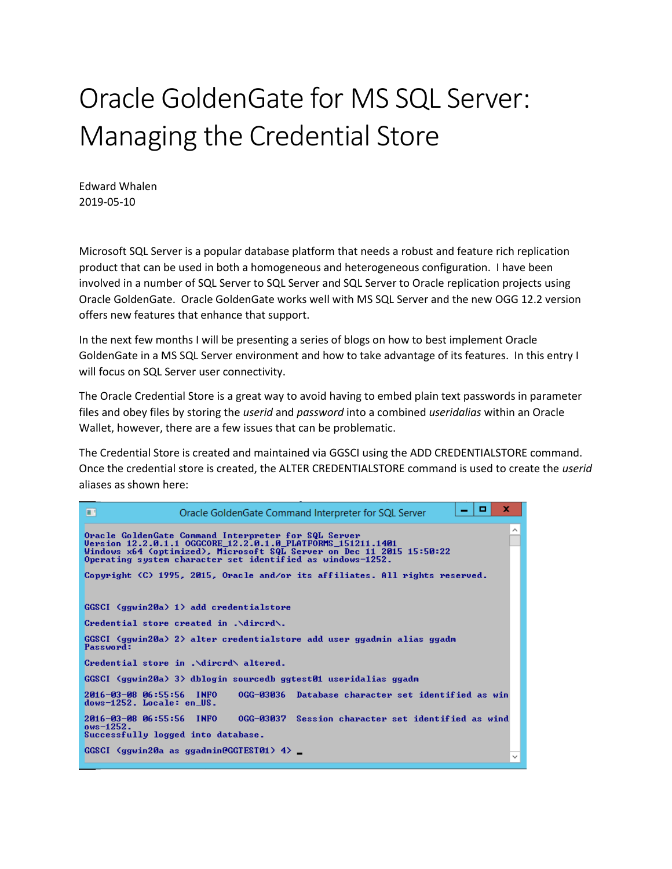## Oracle GoldenGate for MS SQL Server: Managing the Credential Store

Edward Whalen 2019-05-10

Microsoft SQL Server is a popular database platform that needs a robust and feature rich replication product that can be used in both a homogeneous and heterogeneous configuration. I have been involved in a number of SQL Server to SQL Server and SQL Server to Oracle replication projects using Oracle GoldenGate. Oracle GoldenGate works well with MS SQL Server and the new OGG 12.2 version offers new features that enhance that support.

In the next few months I will be presenting a series of blogs on how to best implement Oracle GoldenGate in a MS SQL Server environment and how to take advantage of its features. In this entry I will focus on SQL Server user connectivity.

The Oracle Credential Store is a great way to avoid having to embed plain text passwords in parameter files and obey files by storing the *userid* and *password* into a combined *useridalias* within an Oracle Wallet, however, there are a few issues that can be problematic.

The Credential Store is created and maintained via GGSCI using the ADD CREDENTIALSTORE command. Once the credential store is created, the ALTER CREDENTIALSTORE command is used to create the *userid* aliases as shown here:

| x<br>o<br>ш<br>Oracle GoldenGate Command Interpreter for SQL Server                                                                                                                                                                                             |
|-----------------------------------------------------------------------------------------------------------------------------------------------------------------------------------------------------------------------------------------------------------------|
| ∼<br>Oracle GoldenGate Command Interpreter for SQL Server<br>Version 12.2.0.1.1 OGGCORE 12.2.0.1.0 PLATFORMS 151211.1401<br>Windows x64 (optimized), Microsoft SQL Server on Dec 11 2015 15:50:22<br>Operating system character set identified as windows-1252. |
| Copyright (C) 1995, 2015, Oracle and/or its affiliates. All rights reserved.                                                                                                                                                                                    |
| $GGSCI$ (ggwin20a) 1) add credentialstore                                                                                                                                                                                                                       |
| Credential store created in .\dircrd\.                                                                                                                                                                                                                          |
| GGSCI (ggwin20a) 2> alter credentialstore add user ggadmin alias ggadm<br>Password:                                                                                                                                                                             |
| Credential store in .\dircrd\ altered.                                                                                                                                                                                                                          |
| GGSCI (ggwin20a) 3> dblogin sourcedb ggtest01 useridalias ggadm                                                                                                                                                                                                 |
| 2016-03-08 06:55:56 INFO<br>0GG-03036<br>Database character set identified as win<br>dows-1252. Locale: en US.                                                                                                                                                  |
| 2016-03-08 06:55:56 INFO<br>OGG-03037 Session character set identified as wind<br>$ows - 1252.$<br>Successfully logged into database.                                                                                                                           |
| $GGSCI$ (ggwin20a as ggadmin2GGTEST01) 4> $\equiv$                                                                                                                                                                                                              |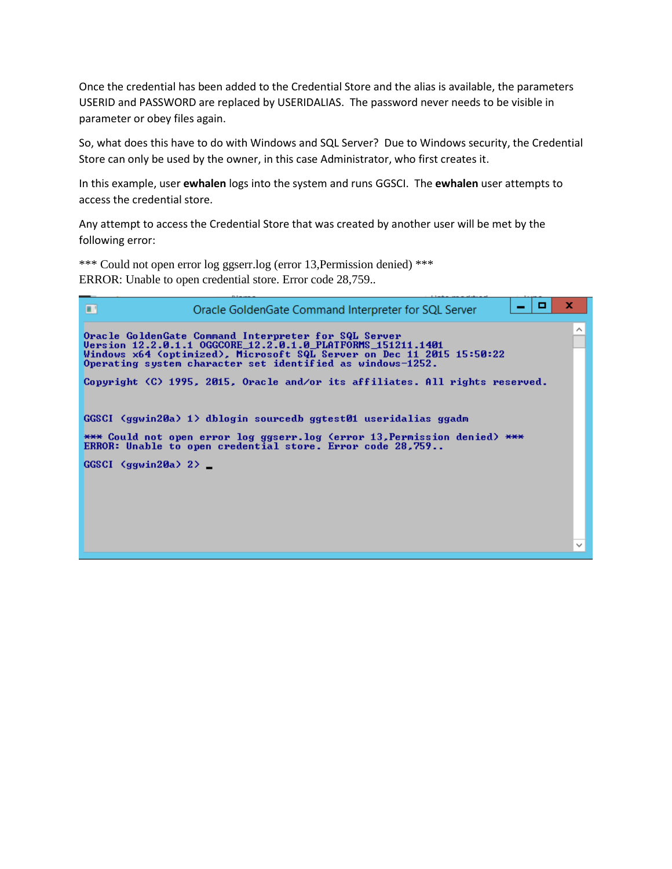Once the credential has been added to the Credential Store and the alias is available, the parameters USERID and PASSWORD are replaced by USERIDALIAS. The password never needs to be visible in parameter or obey files again.

So, what does this have to do with Windows and SQL Server? Due to Windows security, the Credential Store can only be used by the owner, in this case Administrator, who first creates it.

In this example, user **ewhalen** logs into the system and runs GGSCI. The **ewhalen** user attempts to access the credential store.

Any attempt to access the Credential Store that was created by another user will be met by the following error:

\*\*\* Could not open error log ggserr.log (error 13, Permission denied) \*\*\* ERROR: Unable to open credential store. Error code 28,759..

| ш<br>Oracle GoldenGate Command Interpreter for SQL Server                                                                                                                                                                                                  | o | x |
|------------------------------------------------------------------------------------------------------------------------------------------------------------------------------------------------------------------------------------------------------------|---|---|
| Oracle GoldenGate Command Interpreter for SQL Server<br>Uersion 12.2.0.1.1 OGGCORE 12.2.0.1.0 PLATFORMS 151211.1401<br>Windows x64 (optimized), Microsoft SQL Server on Dec 11 2015 15:50:22<br>Operating system character set identified as windows-1252. |   |   |
| Copyright (C) 1995, 2015, Oracle and/or its affiliates. All rights reserved.                                                                                                                                                                               |   |   |
| GGSCI (ggwin20a) 1> dblogin sourcedb ggtest01 useridalias ggadm<br>*** Could not open error log ggserr.log (error 13,Permission denied) ***<br>ERROR: Unable to open credential store. Error code 28,759                                                   |   |   |
| $GGSCI$ (ggwin20a) 2> $\sqsubset$                                                                                                                                                                                                                          |   |   |
|                                                                                                                                                                                                                                                            |   |   |
|                                                                                                                                                                                                                                                            |   |   |
|                                                                                                                                                                                                                                                            |   |   |
|                                                                                                                                                                                                                                                            |   |   |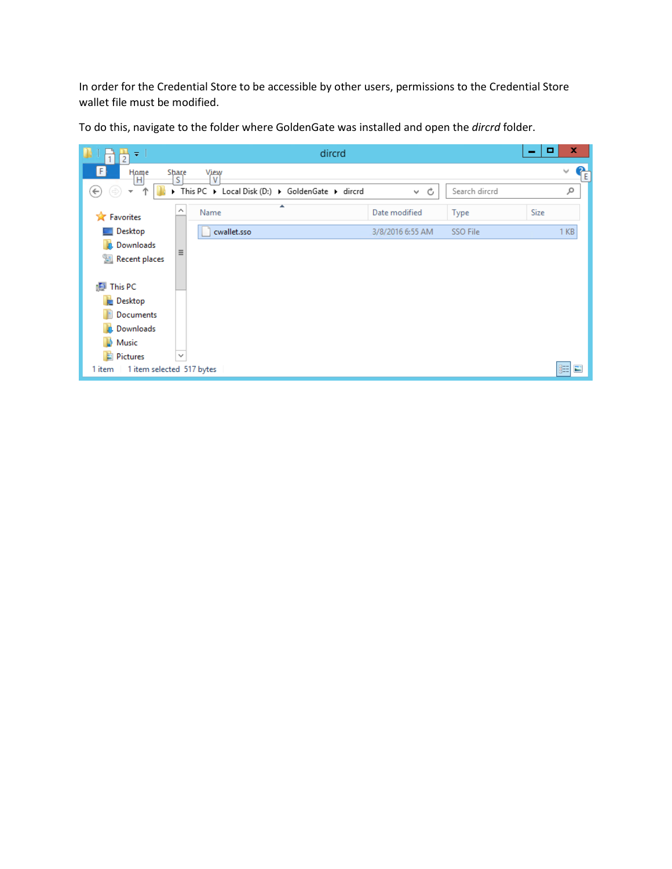In order for the Credential Store to be accessible by other users, permissions to the Credential Store wallet file must be modified.

To do this, navigate to the folder where GoldenGate was installed and open the *dircrd* folder.

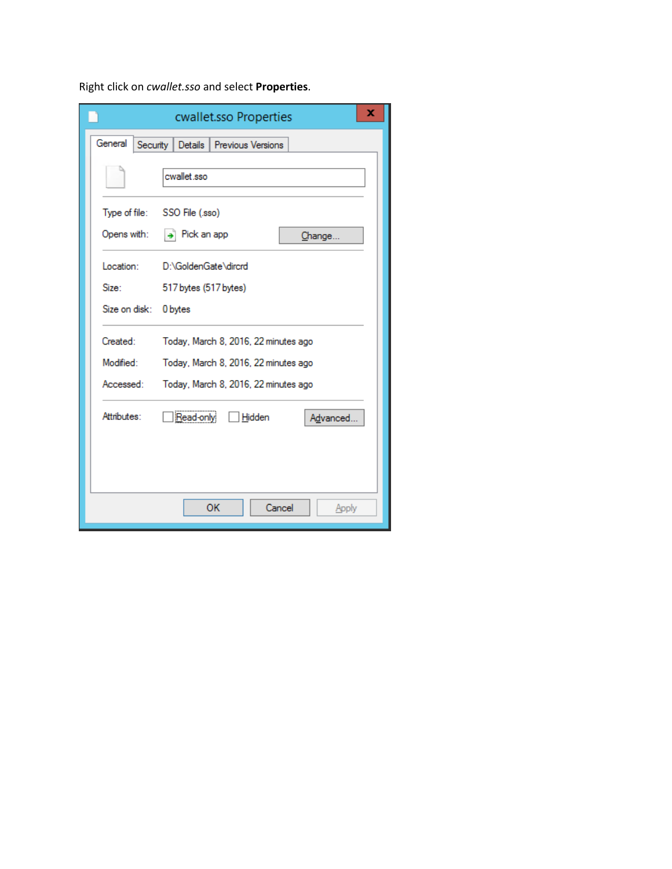Right click on *cwallet.sso* and select **Properties**.

|                     | cwallet.sso Properties               | x |
|---------------------|--------------------------------------|---|
| General<br>Security | Details  <br>Previous Versions       |   |
|                     | cwallet sso                          |   |
|                     | Type of file: SSO File (.sso)        |   |
| Opens with:         | $\rightarrow$ Pick an app<br>Change  |   |
| Location:           | D:\GoldenGate\dircrd                 |   |
| Size:               | 517 bytes (517 bytes)                |   |
| Size on disk:       | 0 bytes                              |   |
| Created:            | Today, March 8, 2016, 22 minutes ago |   |
| Modified:           | Today, March 8, 2016, 22 minutes ago |   |
| Accessed:           | Today, March 8, 2016, 22 minutes ago |   |
| Attributes:         | Read-only<br>Hidden<br>Advanced      |   |
|                     |                                      |   |
|                     | OK<br>Cancel<br>Apply                |   |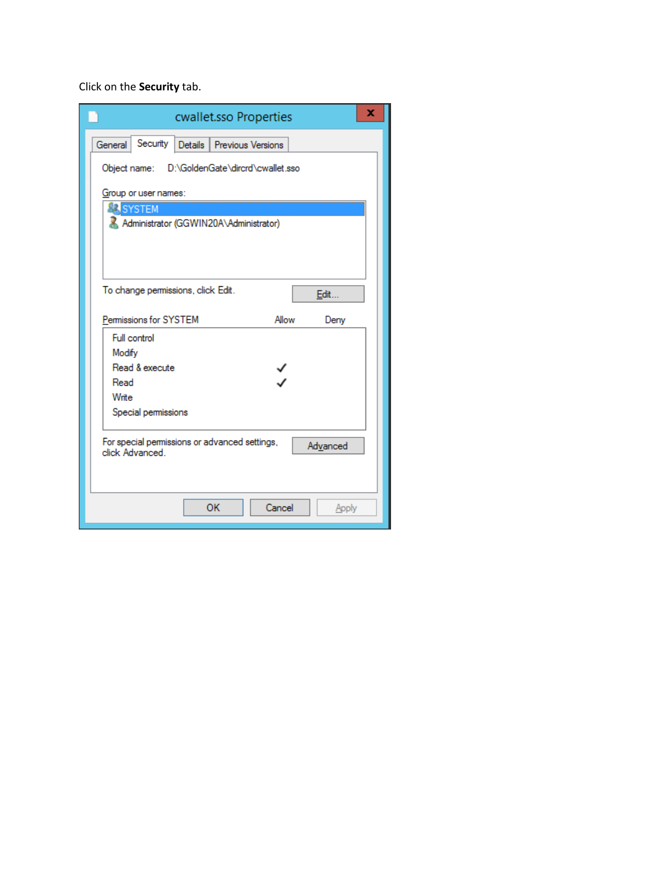Click on the **Security** tab.

| x<br>cwallet.sso Properties                                                 |
|-----------------------------------------------------------------------------|
| Security Details<br>General<br>Previous Versions                            |
| D:\GoldenGate\dircrd\cwallet.sso<br>Object name:                            |
| Group or user names:                                                        |
| SYSTEM                                                                      |
| Administrator (GGWIN20A\Administrator)                                      |
| To change permissions, click Edit.<br>Edit                                  |
| Permissions for SYSTEM<br>Allow<br>Deny                                     |
| Full control                                                                |
| Modify                                                                      |
| Read & execute                                                              |
| Read                                                                        |
| Write                                                                       |
| Special permissions                                                         |
| For special permissions or advanced settings,<br>Advanced<br>click Advanced |
| Cancel<br>OK<br>Apply                                                       |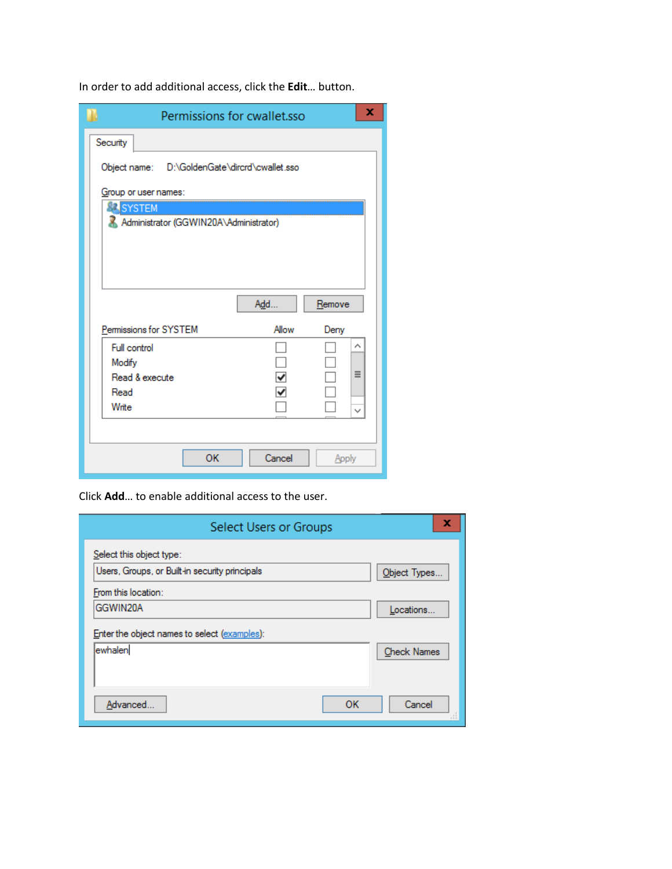In order to add additional access, click the **Edit**… button.

| Permissions for cwallet.sso                      |        |        | x            |
|--------------------------------------------------|--------|--------|--------------|
| Security                                         |        |        |              |
| Object name: D:\GoldenGate\dircrd\cwallet.sso    |        |        |              |
| Group or user names:                             |        |        |              |
| SYSTEM<br>Administrator (GGWIN20A\Administrator) |        |        |              |
|                                                  |        |        |              |
|                                                  |        |        |              |
|                                                  |        |        |              |
|                                                  | Add    | Remove |              |
| Permissions for SYSTEM                           | Allow  | Deny   |              |
| <b>Full control</b>                              |        |        | ́            |
| Modify                                           |        |        |              |
| Read & execute                                   |        |        | Ξ            |
| Read                                             |        |        |              |
| Write                                            |        |        | $\checkmark$ |
|                                                  |        |        |              |
| OK                                               | Cancel | Apply  |              |

Click **Add**… to enable additional access to the user.

| Select Users or Groups                         | x                  |
|------------------------------------------------|--------------------|
| Select this object type:                       |                    |
| Users, Groups, or Built-in security principals | Object Types       |
| From this location:                            |                    |
| GGWIN20A                                       | Locations          |
| Enter the object names to select (examples):   |                    |
| ewhalen                                        | <b>Check Names</b> |
|                                                |                    |
|                                                |                    |
| OK<br>Advanced                                 | Cancel             |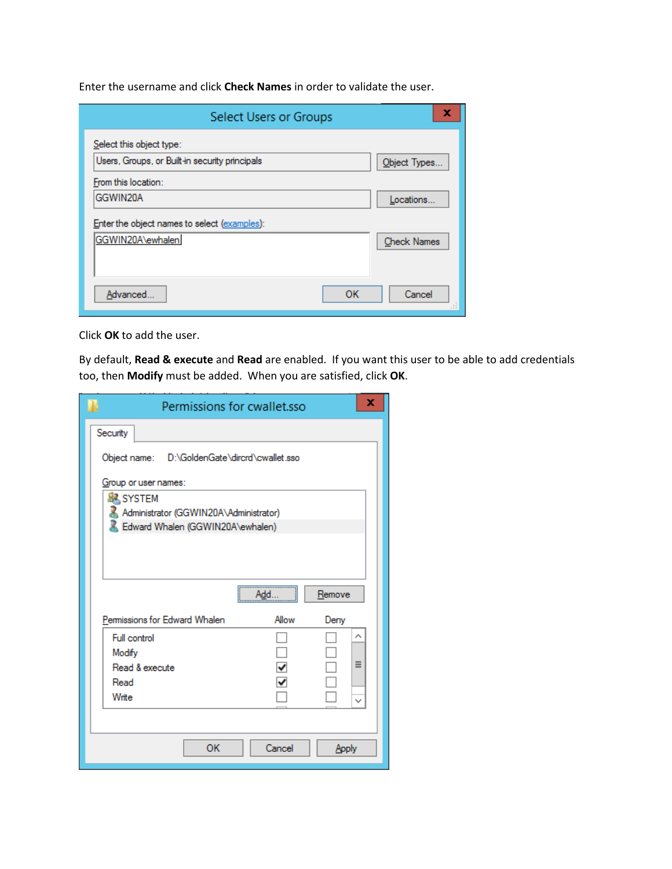Enter the username and click **Check Names** in order to validate the user.

| x                  |
|--------------------|
|                    |
| Object Types       |
|                    |
| Locations          |
|                    |
| <b>Check Names</b> |
|                    |
|                    |
| Cancel<br>лî       |
|                    |

Click **OK** to add the user.

By default, **Read & execute** and **Read** are enabled. If you want this user to be able to add credentials too, then **Modify** must be added. When you are satisfied, click **OK**.

| Permissions for cwallet.sso                                |        |        | x |
|------------------------------------------------------------|--------|--------|---|
| Security                                                   |        |        |   |
| Object name: D:\GoldenGate\dircrd\cwallet.sso              |        |        |   |
| Group or user names:                                       |        |        |   |
| <b>SA SYSTEM</b><br>Administrator (GGWIN20A\Administrator) |        |        |   |
| Edward Whalen (GGWIN20A\ewhalen)                           |        |        |   |
|                                                            |        |        |   |
|                                                            |        |        |   |
|                                                            | Add.   | Remove |   |
| Permissions for Edward Whalen                              | Allow  | Deny   |   |
| Full control                                               |        |        |   |
| Modify                                                     |        |        |   |
| Read & execute                                             |        |        | Ξ |
| Read                                                       | ✓      |        |   |
| Write                                                      |        |        |   |
|                                                            |        |        |   |
| OK                                                         | Cancel | Apply  |   |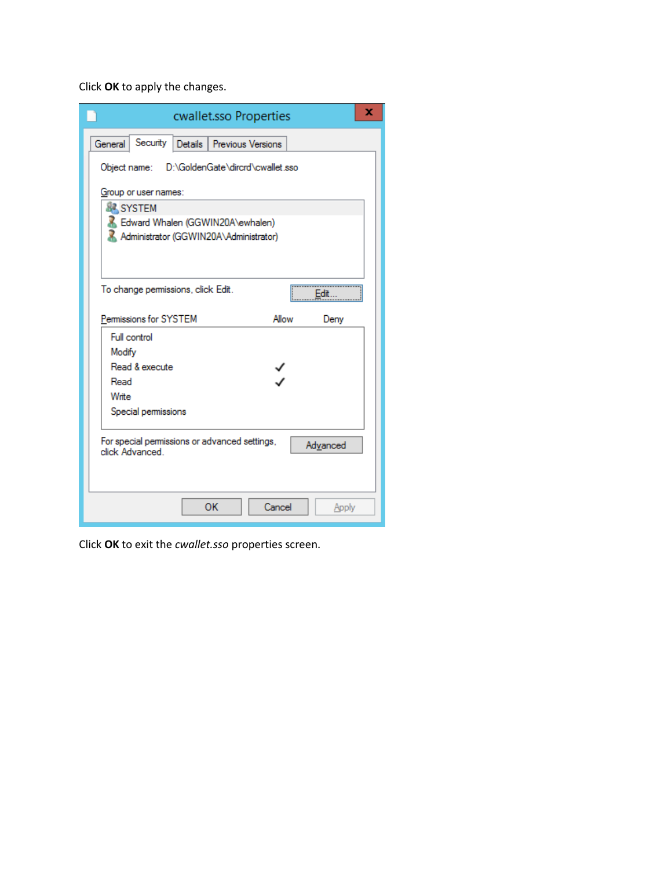Click **OK** to apply the changes.

| ×<br>cwallet.sso Properties                                                 |
|-----------------------------------------------------------------------------|
| Security Details Previous Versions<br>General                               |
| D:\GoldenGate\dircrd\cwallet.sso<br>Object name:                            |
| Group or user names:                                                        |
| <b>SA SYSTEM</b>                                                            |
| Edward Whalen (GGWIN20A\ewhalen)                                            |
| Administrator (GGWIN20A\Administrator)                                      |
|                                                                             |
|                                                                             |
|                                                                             |
| To change permissions, click Edit.<br>Fdit                                  |
|                                                                             |
| Permissions for SYSTEM<br>Allow<br>Deny                                     |
| Full control                                                                |
| Modify                                                                      |
| Read & execute                                                              |
| Read                                                                        |
| Write                                                                       |
| Special permissions                                                         |
|                                                                             |
| For special permissions or advanced settings,<br>Advanced<br>click Advanced |
|                                                                             |
| OK<br>Cancel<br>Apply                                                       |

Click **OK** to exit the *cwallet.sso* properties screen.